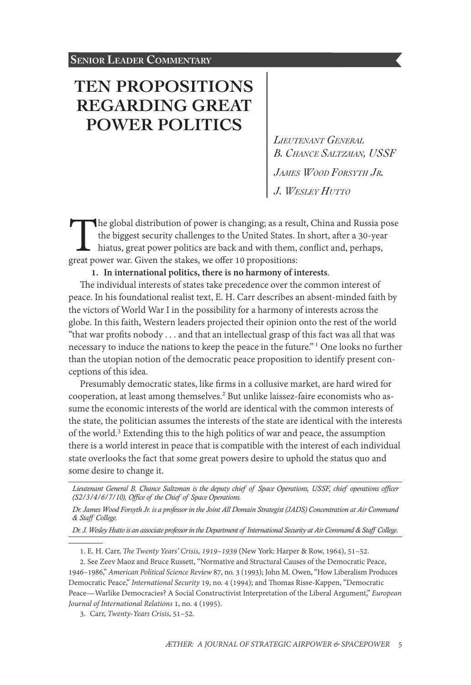# **[TEN PROPOSITIONS](#page-0-0)  [REGARDING GREAT](#page-0-0)  [POWER POLITICS](#page-0-0)**

*Lieutenant General B. Chance Saltzman, USSF James Wood Forsyth Jr. J. Wesley Hutto*

The global distribution of power is changing; as a result, China and Russia pose the biggest security challenges to the United States. In short, after a 30-year hiatus, great power politics are back and with them, conflict and, perhaps, great power war. Given the stakes, we offer 10 propositions:

**1. In international politics, there is no harmony of interests**.

The individual interests of states take precedence over the common interest of peace. In his foundational realist text, E. H. Carr describes an absent-minded faith by the victors of World War I in the possibility for a harmony of interests across the globe. In this faith, Western leaders projected their opinion onto the rest of the world "that war profits nobody . . . and that an intellectual grasp of this fact was all that was necessary to induce the nations to keep the peace in the future." <sup>1</sup> One looks no further than the utopian notion of the democratic peace proposition to identify present conceptions of this idea.

Presumably democratic states, like firms in a collusive market, are hard wired for cooperation, at least among themselves.<sup>2</sup> But unlike laissez-faire economists who assume the economic interests of the world are identical with the common interests of the state, the politician assumes the interests of the state are identical with the interests of the world.<sup>3</sup> Extending this to the high politics of war and peace, the assumption there is a world interest in peace that is compatible with the interest of each individual state overlooks the fact that some great powers desire to uphold the status quo and some desire to change it.

*Dr. James Wood Forsyth Jr. is a professor in the Joint All Domain Strategist (JADS) Concentration at Air Command & Staff College.*

*Dr. J. Wesley Hutto is an associate professor in the Department of International Security at Air Command & Staff College.*

<span id="page-0-0"></span>3. Carr, *Twenty-Years Crisis*, 51–52.

*Lieutenant General B. Chance Saltzman is the deputy chief of Space Operations, USSF, chief operations officer (S2/3/4/6/7/10), Office of the Chief of Space Operations.*

<sup>1.</sup> E. H. Carr, *The Twenty Years' Crisis, 1919–1939* (New York: Harper & Row, 1964), 51–52.

<sup>2.</sup> See Zeev Maoz and Bruce Russett, "Normative and Structural Causes of the Democratic Peace, 1946–1986," *American Political Science Review* 87, no. 3 (1993); John M. Owen, "How Liberalism Produces Democratic Peace," *International Security* 19, no. 4 (1994); and Thomas Risse-Kappen, "Democratic Peace—Warlike Democracies? A Social Constructivist Interpretation of the Liberal Argument," *European Journal of International Relations* 1, no. 4 (1995).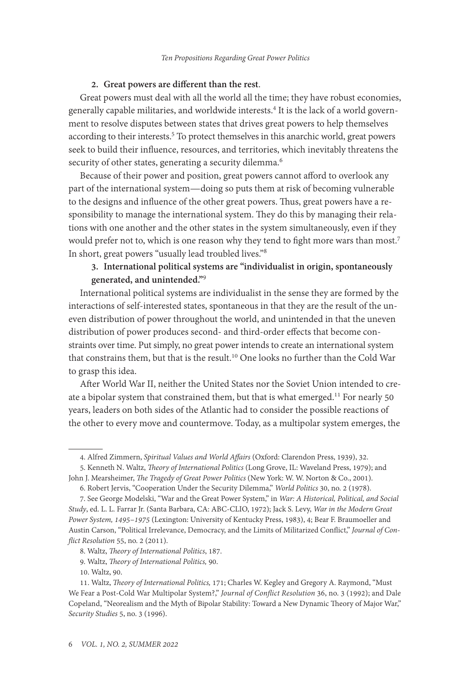## **2. Great powers are different than the rest**.

Great powers must deal with all the world all the time; they have robust economies, generally capable militaries, and worldwide interests.<sup>4</sup> It is the lack of a world government to resolve disputes between states that drives great powers to help themselves according to their interests.<sup>5</sup> To protect themselves in this anarchic world, great powers seek to build their influence, resources, and territories, which inevitably threatens the security of other states, generating a security dilemma.<sup>6</sup>

Because of their power and position, great powers cannot afford to overlook any part of the international system—doing so puts them at risk of becoming vulnerable to the designs and influence of the other great powers. Thus, great powers have a responsibility to manage the international system. They do this by managing their relations with one another and the other states in the system simultaneously, even if they would prefer not to, which is one reason why they tend to fight more wars than most.<sup>7</sup> In short, great powers "usually lead troubled lives."8

# **3. International political systems are "individualist in origin, spontaneously generated, and unintended."**<sup>9</sup>

International political systems are individualist in the sense they are formed by the interactions of self-interested states, spontaneous in that they are the result of the uneven distribution of power throughout the world, and unintended in that the uneven distribution of power produces second- and third-order effects that become constraints over time. Put simply, no great power intends to create an international system that constrains them, but that is the result.<sup>10</sup> One looks no further than the Cold War to grasp this idea.

After World War II, neither the United States nor the Soviet Union intended to create a bipolar system that constrained them, but that is what emerged.<sup>11</sup> For nearly 50 years, leaders on both sides of the Atlantic had to consider the possible reactions of the other to every move and countermove. Today, as a multipolar system emerges, the

8. Waltz, *Theory of International Politics*, 187.

9. Waltz, *Theory of International Politics,* 90.

10. Waltz, 90.

<sup>4.</sup> Alfred Zimmern, *Spiritual Values and World Affairs* (Oxford: Clarendon Press, 1939), 32.

<sup>5.</sup> Kenneth N. Waltz, *Theory of International Politics* (Long Grove, IL: Waveland Press, 1979); and John J. Mearsheimer, *The Tragedy of Great Power Politics* (New York: W. W. Norton & Co., 2001).

<sup>6.</sup> Robert Jervis, "Cooperation Under the Security Dilemma," *World Politics* 30, no. 2 (1978).

<sup>7.</sup> See George Modelski, "War and the Great Power System," in *War: A Historical, Political, and Social Study*, ed. L. L. Farrar Jr. (Santa Barbara, CA: ABC-CLIO, 1972); Jack S. Levy, *War in the Modern Great Power System, 1495–1975* (Lexington: University of Kentucky Press, 1983), 4; Bear F. Braumoeller and Austin Carson, "Political Irrelevance, Democracy, and the Limits of Militarized Conflict," *Journal of Conflict Resolution* 55, no. 2 (2011).

<sup>11.</sup> Waltz, *Theory of International Politics,* 171; Charles W. Kegley and Gregory A. Raymond, "Must We Fear a Post-Cold War Multipolar System?," *Journal of Conflict Resolution* 36, no. 3 (1992); and Dale Copeland, "Neorealism and the Myth of Bipolar Stability: Toward a New Dynamic Theory of Major War," *Security Studies* 5, no. 3 (1996).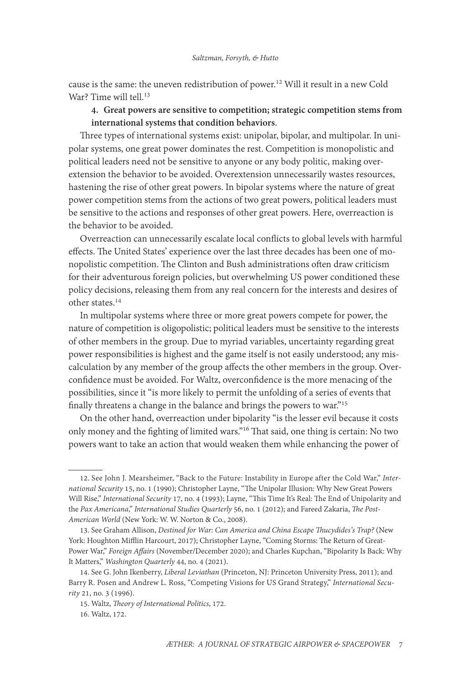cause is the same: the uneven redistribution of power.<sup>12</sup> Will it result in a new Cold War? Time will tell.<sup>13</sup>

## **4. Great powers are sensitive to competition; strategic competition stems from international systems that condition behaviors**.

Three types of international systems exist: unipolar, bipolar, and multipolar. In unipolar systems, one great power dominates the rest. Competition is monopolistic and political leaders need not be sensitive to anyone or any body politic, making overextension the behavior to be avoided. Overextension unnecessarily wastes resources, hastening the rise of other great powers. In bipolar systems where the nature of great power competition stems from the actions of two great powers, political leaders must be sensitive to the actions and responses of other great powers. Here, overreaction is the behavior to be avoided.

Overreaction can unnecessarily escalate local conflicts to global levels with harmful effects. The United States' experience over the last three decades has been one of monopolistic competition. The Clinton and Bush administrations often draw criticism for their adventurous foreign policies, but overwhelming US power conditioned these policy decisions, releasing them from any real concern for the interests and desires of other states.<sup>14</sup>

In multipolar systems where three or more great powers compete for power, the nature of competition is oligopolistic; political leaders must be sensitive to the interests of other members in the group. Due to myriad variables, uncertainty regarding great power responsibilities is highest and the game itself is not easily understood; any miscalculation by any member of the group affects the other members in the group. Overconfidence must be avoided. For Waltz, overconfidence is the more menacing of the possibilities, since it "is more likely to permit the unfolding of a series of events that finally threatens a change in the balance and brings the powers to war."15

On the other hand, overreaction under bipolarity "is the lesser evil because it costs only money and the fighting of limited wars."16 That said, one thing is certain: No two powers want to take an action that would weaken them while enhancing the power of

<sup>12.</sup> See John J. Mearsheimer, "Back to the Future: Instability in Europe after the Cold War," *International Security* 15, no. 1 (1990); Christopher Layne, "The Unipolar Illusion: Why New Great Powers Will Rise," *International Security* 17, no. 4 (1993); Layne, "This Time It's Real: The End of Unipolarity and the *Pax Americana*," *International Studies Quarterly* 56, no. 1 (2012); and Fareed Zakaria, *The Post-American World* (New York: W. W. Norton & Co., 2008).

<sup>13.</sup> See Graham Allison, *Destined for War: Can America and China Escape Thucydides's Trap?* (New York: Houghton Mifflin Harcourt, 2017); Christopher Layne, "Coming Storms: The Return of Great-Power War," *Foreign Affairs* (November/December 2020); and Charles Kupchan, "Bipolarity Is Back: Why It Matters," *Washington Quarterly* 44, no. 4 (2021).

<sup>14.</sup> See G. John Ikenberry, *Liberal Leviathan* (Princeton, NJ: Princeton University Press, 2011); and Barry R. Posen and Andrew L. Ross, "Competing Visions for US Grand Strategy," *International Security* 21, no. 3 (1996).

<sup>15.</sup> Waltz, *Theory of International Politics*, 172.

<sup>16.</sup> Waltz, 172.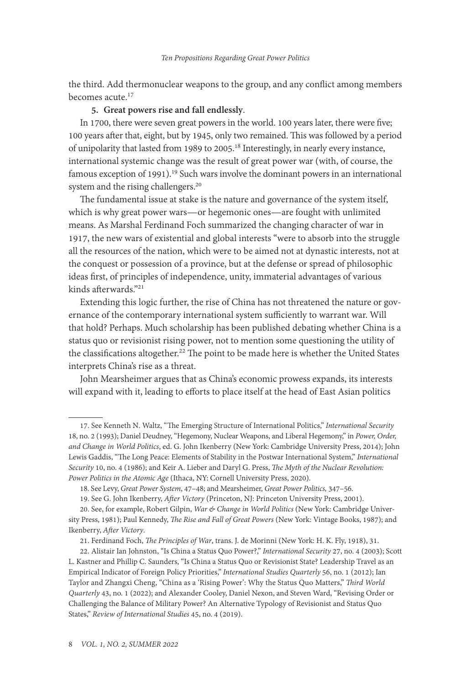the third. Add thermonuclear weapons to the group, and any conflict among members becomes acute.<sup>17</sup>

#### **5. Great powers rise and fall endlessly**.

In 1700, there were seven great powers in the world. 100 years later, there were five; 100 years after that, eight, but by 1945, only two remained. This was followed by a period of unipolarity that lasted from 1989 to 2005.<sup>18</sup> Interestingly, in nearly every instance, international systemic change was the result of great power war (with, of course, the famous exception of 1991).<sup>19</sup> Such wars involve the dominant powers in an international system and the rising challengers.<sup>20</sup>

The fundamental issue at stake is the nature and governance of the system itself, which is why great power wars—or hegemonic ones—are fought with unlimited means. As Marshal Ferdinand Foch summarized the changing character of war in 1917, the new wars of existential and global interests "were to absorb into the struggle all the resources of the nation, which were to be aimed not at dynastic interests, not at the conquest or possession of a province, but at the defense or spread of philosophic ideas first, of principles of independence, unity, immaterial advantages of various kinds afterwards."21

Extending this logic further, the rise of China has not threatened the nature or governance of the contemporary international system sufficiently to warrant war. Will that hold? Perhaps. Much scholarship has been published debating whether China is a status quo or revisionist rising power, not to mention some questioning the utility of the classifications altogether.<sup>22</sup> The point to be made here is whether the United States interprets China's rise as a threat.

John Mearsheimer argues that as China's economic prowess expands, its interests will expand with it, leading to efforts to place itself at the head of East Asian politics

<sup>17.</sup> See Kenneth N. Waltz, "The Emerging Structure of International Politics," *International Security*  18, no. 2 (1993); Daniel Deudney, "Hegemony, Nuclear Weapons, and Liberal Hegemony," in *Power, Order, and Change in World Politics*, ed. G. John Ikenberry (New York: Cambridge University Press, 2014); John Lewis Gaddis, "The Long Peace: Elements of Stability in the Postwar International System," *International Security* 10, no. 4 (1986); and Keir A. Lieber and Daryl G. Press, *The Myth of the Nuclear Revolution: Power Politics in the Atomic Age* (Ithaca, NY: Cornell University Press, 2020).

<sup>18.</sup> See Levy, *Great Power System*, 47–48; and Mearsheimer, *Great Power Politics,* 347–56.

<sup>19.</sup> See G. John Ikenberry, *After Victory* (Princeton, NJ: Princeton University Press, 2001).

<sup>20.</sup> See, for example, Robert Gilpin, *War & Change in World Politics* (New York: Cambridge University Press, 1981); Paul Kennedy, *The Rise and Fall of Great Powers* (New York: Vintage Books, 1987); and Ikenberry, *After Victory*.

<sup>21.</sup> Ferdinand Foch, *The Principles of War*, trans. J. de Morinni (New York: H. K. Fly, 1918), 31.

<sup>22.</sup> Alistair Ian Johnston, "Is China a Status Quo Power?," *International Security* 27, no. 4 (2003); Scott L. Kastner and Phillip C. Saunders, "Is China a Status Quo or Revisionist State? Leadership Travel as an Empirical Indicator of Foreign Policy Priorities," *International Studies Quarterly* 56, no. 1 (2012); Ian Taylor and Zhangxi Cheng, "China as a 'Rising Power': Why the Status Quo Matters," *Third World Quarterly* 43, no. 1 (2022); and Alexander Cooley, Daniel Nexon, and Steven Ward, "Revising Order or Challenging the Balance of Military Power? An Alternative Typology of Revisionist and Status Quo States," *Review of International Studies* 45, no. 4 (2019).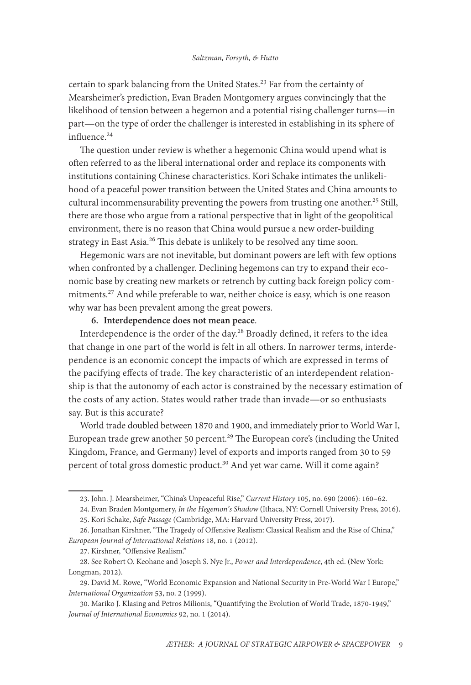certain to spark balancing from the United States.<sup>23</sup> Far from the certainty of Mearsheimer's prediction, Evan Braden Montgomery argues convincingly that the likelihood of tension between a hegemon and a potential rising challenger turns—in part—on the type of order the challenger is interested in establishing in its sphere of influence.<sup>24</sup>

The question under review is whether a hegemonic China would upend what is often referred to as the liberal international order and replace its components with institutions containing Chinese characteristics. Kori Schake intimates the unlikelihood of a peaceful power transition between the United States and China amounts to cultural incommensurability preventing the powers from trusting one another.<sup>25</sup> Still, there are those who argue from a rational perspective that in light of the geopolitical environment, there is no reason that China would pursue a new order-building strategy in East Asia.<sup>26</sup> This debate is unlikely to be resolved any time soon.

Hegemonic wars are not inevitable, but dominant powers are left with few options when confronted by a challenger. Declining hegemons can try to expand their economic base by creating new markets or retrench by cutting back foreign policy commitments.<sup>27</sup> And while preferable to war, neither choice is easy, which is one reason why war has been prevalent among the great powers.

### **6. Interdependence does not mean peace**.

Interdependence is the order of the day.28 Broadly defined, it refers to the idea that change in one part of the world is felt in all others. In narrower terms, interdependence is an economic concept the impacts of which are expressed in terms of the pacifying effects of trade. The key characteristic of an interdependent relationship is that the autonomy of each actor is constrained by the necessary estimation of the costs of any action. States would rather trade than invade—or so enthusiasts say. But is this accurate?

World trade doubled between 1870 and 1900, and immediately prior to World War I, European trade grew another 50 percent.<sup>29</sup> The European core's (including the United Kingdom, France, and Germany) level of exports and imports ranged from 30 to 59 percent of total gross domestic product.<sup>30</sup> And yet war came. Will it come again?

<sup>23.</sup> John. J. Mearsheimer, "China's Unpeaceful Rise," *Current History* 105, no. 690 (2006): 160–62.

<sup>24.</sup> Evan Braden Montgomery, *In the Hegemon's Shadow* (Ithaca, NY: Cornell University Press, 2016).

<sup>25.</sup> Kori Schake, *Safe Passage* (Cambridge, MA: Harvard University Press, 2017).

<sup>26.</sup> Jonathan Kirshner, "The Tragedy of Offensive Realism: Classical Realism and the Rise of China," *European Journal of International Relations* 18, no. 1 (2012).

<sup>27.</sup> Kirshner, "Offensive Realism."

<sup>28.</sup> See Robert O. Keohane and Joseph S. Nye Jr., *Power and Interdependence*, 4th ed. (New York: Longman, 2012).

<sup>29.</sup> David M. Rowe, "World Economic Expansion and National Security in Pre-World War I Europe," *International Organization* 53, no. 2 (1999).

<sup>30.</sup> Mariko J. Klasing and Petros Milionis, "Quantifying the Evolution of World Trade, 1870-1949," *Journal of International Economics* 92, no. 1 (2014).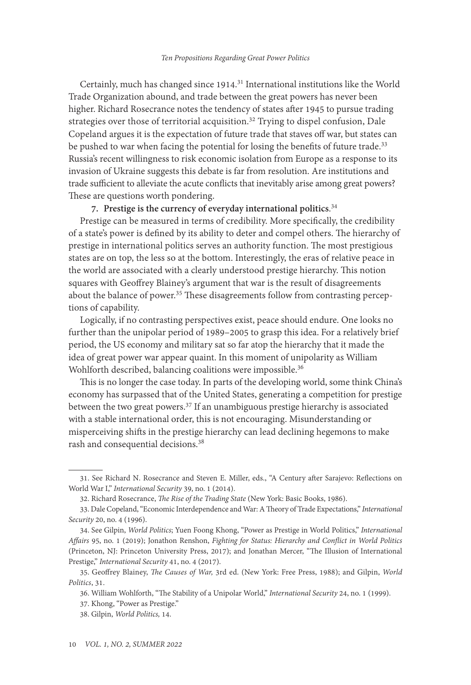Certainly, much has changed since 1914.<sup>31</sup> International institutions like the World Trade Organization abound, and trade between the great powers has never been higher. Richard Rosecrance notes the tendency of states after 1945 to pursue trading strategies over those of territorial acquisition.<sup>32</sup> Trying to dispel confusion, Dale Copeland argues it is the expectation of future trade that staves off war, but states can be pushed to war when facing the potential for losing the benefits of future trade.<sup>33</sup> Russia's recent willingness to risk economic isolation from Europe as a response to its invasion of Ukraine suggests this debate is far from resolution. Are institutions and trade sufficient to alleviate the acute conflicts that inevitably arise among great powers? These are questions worth pondering.

# **7. Prestige is the currency of everyday international politics**. 34

Prestige can be measured in terms of credibility. More specifically, the credibility of a state's power is defined by its ability to deter and compel others. The hierarchy of prestige in international politics serves an authority function. The most prestigious states are on top, the less so at the bottom. Interestingly, the eras of relative peace in the world are associated with a clearly understood prestige hierarchy. This notion squares with Geoffrey Blainey's argument that war is the result of disagreements about the balance of power.<sup>35</sup> These disagreements follow from contrasting perceptions of capability.

Logically, if no contrasting perspectives exist, peace should endure. One looks no further than the unipolar period of 1989–2005 to grasp this idea. For a relatively brief period, the US economy and military sat so far atop the hierarchy that it made the idea of great power war appear quaint. In this moment of unipolarity as William Wohlforth described, balancing coalitions were impossible.<sup>36</sup>

This is no longer the case today. In parts of the developing world, some think China's economy has surpassed that of the United States, generating a competition for prestige between the two great powers. $37$  If an unambiguous prestige hierarchy is associated with a stable international order, this is not encouraging. Misunderstanding or misperceiving shifts in the prestige hierarchy can lead declining hegemons to make rash and consequential decisions.38

<sup>31.</sup> See Richard N. Rosecrance and Steven E. Miller, eds., "A Century after Sarajevo: Reflections on World War I," *International Security* 39, no. 1 (2014).

<sup>32.</sup> Richard Rosecrance, *The Rise of the Trading State* (New York: Basic Books, 1986).

<sup>33.</sup> Dale Copeland, "Economic Interdependence and War: A Theory of Trade Expectations," *International Security* 20, no. 4 (1996).

<sup>34.</sup> See Gilpin, *World Politics*; Yuen Foong Khong, "Power as Prestige in World Politics," *International Affairs* 95, no. 1 (2019); Jonathon Renshon, *Fighting for Status: Hierarchy and Conflict in World Politics* (Princeton, NJ: Princeton University Press, 2017); and Jonathan Mercer, "The Illusion of International Prestige," *International Security* 41, no. 4 (2017).

<sup>35.</sup> Geoffrey Blainey, *The Causes of War,* 3rd ed. (New York: Free Press, 1988); and Gilpin, *World Politics*, 31.

<sup>36.</sup> William Wohlforth, "The Stability of a Unipolar World," *International Security* 24, no. 1 (1999).

<sup>37.</sup> Khong, "Power as Prestige."

<sup>38.</sup> Gilpin, *World Politics,* 14.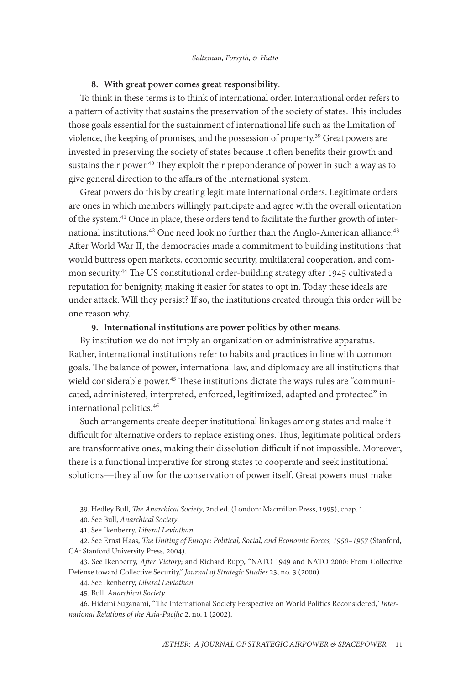#### **8. With great power comes great responsibility**.

To think in these terms is to think of international order. International order refers to a pattern of activity that sustains the preservation of the society of states. This includes those goals essential for the sustainment of international life such as the limitation of violence, the keeping of promises, and the possession of property.39 Great powers are invested in preserving the society of states because it often benefits their growth and sustains their power.<sup>40</sup> They exploit their preponderance of power in such a way as to give general direction to the affairs of the international system.

Great powers do this by creating legitimate international orders. Legitimate orders are ones in which members willingly participate and agree with the overall orientation of the system.41 Once in place, these orders tend to facilitate the further growth of international institutions.<sup>42</sup> One need look no further than the Anglo-American alliance.<sup>43</sup> After World War II, the democracies made a commitment to building institutions that would buttress open markets, economic security, multilateral cooperation, and common security.44 The US constitutional order-building strategy after 1945 cultivated a reputation for benignity, making it easier for states to opt in. Today these ideals are under attack. Will they persist? If so, the institutions created through this order will be one reason why.

## **9. International institutions are power politics by other means**.

By institution we do not imply an organization or administrative apparatus. Rather, international institutions refer to habits and practices in line with common goals. The balance of power, international law, and diplomacy are all institutions that wield considerable power.<sup>45</sup> These institutions dictate the ways rules are "communicated, administered, interpreted, enforced, legitimized, adapted and protected" in international politics.<sup>46</sup>

Such arrangements create deeper institutional linkages among states and make it difficult for alternative orders to replace existing ones. Thus, legitimate political orders are transformative ones, making their dissolution difficult if not impossible. Moreover, there is a functional imperative for strong states to cooperate and seek institutional solutions—they allow for the conservation of power itself. Great powers must make

<sup>39.</sup> Hedley Bull, *The Anarchical Society*, 2nd ed. (London: Macmillan Press, 1995), chap. 1.

<sup>40.</sup> See Bull, *Anarchical Society*.

<sup>41.</sup> See Ikenberry, *Liberal Leviathan*.

<sup>42.</sup> See Ernst Haas, *The Uniting of Europe: Political, Social, and Economic Forces, 1950–1957* (Stanford, CA: Stanford University Press, 2004).

<sup>43.</sup> See Ikenberry, *After Victory*; and Richard Rupp, "NATO 1949 and NATO 2000: From Collective Defense toward Collective Security," *Journal of Strategic Studies* 23, no. 3 (2000).

<sup>44.</sup> See Ikenberry, *Liberal Leviathan.*

<sup>45.</sup> Bull, *Anarchical Society.*

<sup>46.</sup> Hidemi Suganami, "The International Society Perspective on World Politics Reconsidered," *International Relations of the Asia-Pacific* 2, no. 1 (2002).